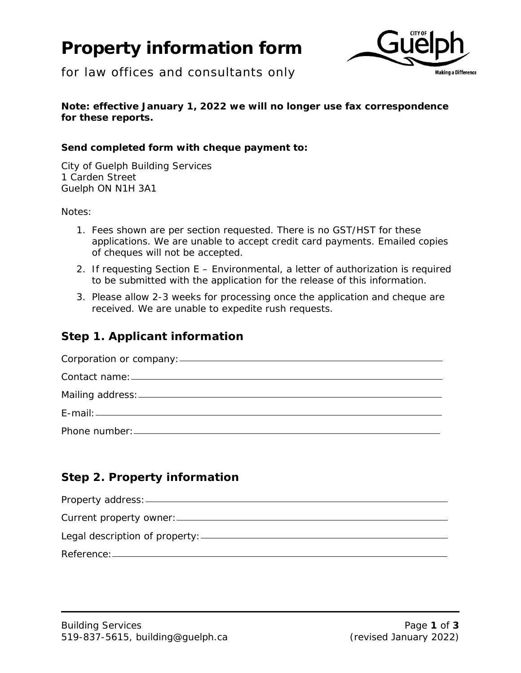# **Property information form**



for law offices and consultants only

### **Note: effective January 1, 2022 we will no longer use fax correspondence for these reports.**

## **Send completed form with cheque payment to:**

City of Guelph Building Services 1 Carden Street Guelph ON N1H 3A1

Notes:

- 1. Fees shown are per section requested. There is no GST/HST for these applications. We are unable to accept credit card payments. Emailed copies of cheques will not be accepted.
- 2. If requesting Section E Environmental, a letter of authorization is required to be submitted with the application for the release of this information.
- 3. Please allow 2-3 weeks for processing once the application and cheque are received. We are unable to expedite rush requests.

# **Step 1. Applicant information**

| Corporation or company: |  |
|-------------------------|--|
|                         |  |
|                         |  |
|                         |  |
|                         |  |
|                         |  |

# **Step 2. Property information**

| Property address: _______      |
|--------------------------------|
| Current property owner: _____  |
| Legal description of property: |
| Reference: ______              |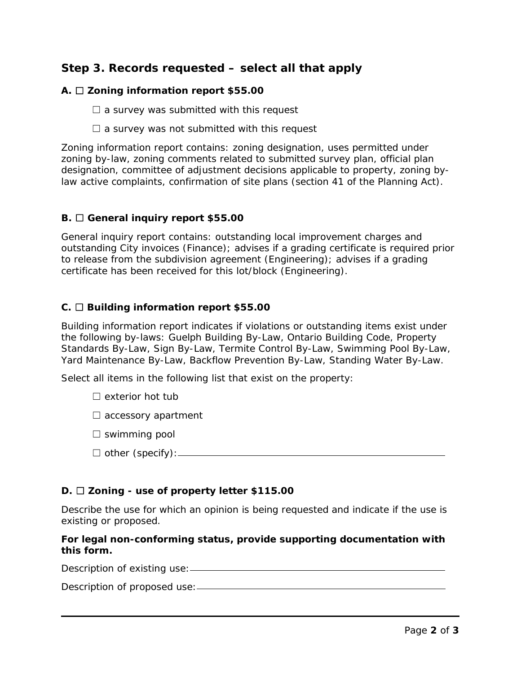## **Step 3. Records requested – select all that apply**

#### **A.** ☐ **Zoning information report \$55.00**

 $\Box$  a survey was submitted with this request

 $\Box$  a survey was not submitted with this request

Zoning information report contains: zoning designation, uses permitted under zoning by-law, zoning comments related to submitted survey plan, official plan designation, committee of adjustment decisions applicable to property, zoning bylaw active complaints, confirmation of site plans (section 41 of the Planning Act).

#### **B.** ☐ **General inquiry report \$55.00**

General inquiry report contains: outstanding local improvement charges and outstanding City invoices (Finance); advises if a grading certificate is required prior to release from the subdivision agreement (Engineering); advises if a grading certificate has been received for this lot/block (Engineering).

#### **C.** ☐ **Building information report \$55.00**

Building information report indicates if violations or outstanding items exist under the following by-laws: Guelph Building By-Law, Ontario Building Code, Property Standards By-Law, Sign By-Law, Termite Control By-Law, Swimming Pool By-Law, Yard Maintenance By-Law, Backflow Prevention By-Law, Standing Water By-Law.

Select all items in the following list that exist on the property:

- $\Box$  exterior hot tub
- $\Box$  accessory apartment
- $\Box$  swimming pool
- ☐ other (specify):

#### **D.** ☐ **Zoning - use of property letter \$115.00**

Describe the use for which an opinion is being requested and indicate if the use is existing or proposed.

#### **For legal non-conforming status, provide supporting documentation with this form.**

Description of existing use:

Description of proposed use: